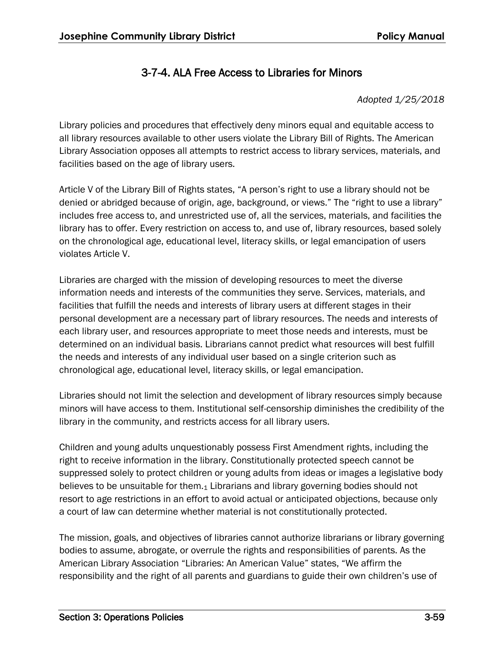## 3-7-4. ALA Free Access to Libraries for Minors

## *Adopted 1/25/2018*

Library policies and procedures that effectively deny minors equal and equitable access to all library resources available to other users violate the Library Bill of Rights. The American Library Association opposes all attempts to restrict access to library services, materials, and facilities based on the age of library users.

Article V of the Library Bill of Rights states, "A person's right to use a library should not be denied or abridged because of origin, age, background, or views." The "right to use a library" includes free access to, and unrestricted use of, all the services, materials, and facilities the library has to offer. Every restriction on access to, and use of, library resources, based solely on the chronological age, educational level, literacy skills, or legal emancipation of users violates Article V.

Libraries are charged with the mission of developing resources to meet the diverse information needs and interests of the communities they serve. Services, materials, and facilities that fulfill the needs and interests of library users at different stages in their personal development are a necessary part of library resources. The needs and interests of each library user, and resources appropriate to meet those needs and interests, must be determined on an individual basis. Librarians cannot predict what resources will best fulfill the needs and interests of any individual user based on a single criterion such as chronological age, educational level, literacy skills, or legal emancipation.

Libraries should not limit the selection and development of library resources simply because minors will have access to them. Institutional self-censorship diminishes the credibility of the library in the community, and restricts access for all library users.

Children and young adults unquestionably possess First Amendment rights, including the right to receive information in the library. Constitutionally protected speech cannot be suppressed solely to protect children or young adults from ideas or images a legislative body believes to be unsuitable for them.<sub>1</sub> Librarians and library governing bodies should not resort to age restrictions in an effort to avoid actual or anticipated objections, because only a court of law can determine whether material is not constitutionally protected.

The mission, goals, and objectives of libraries cannot authorize librarians or library governing bodies to assume, abrogate, or overrule the rights and responsibilities of parents. As the American Library Association "Libraries: An American Value" states, "We affirm the responsibility and the right of all parents and guardians to guide their own children's use of